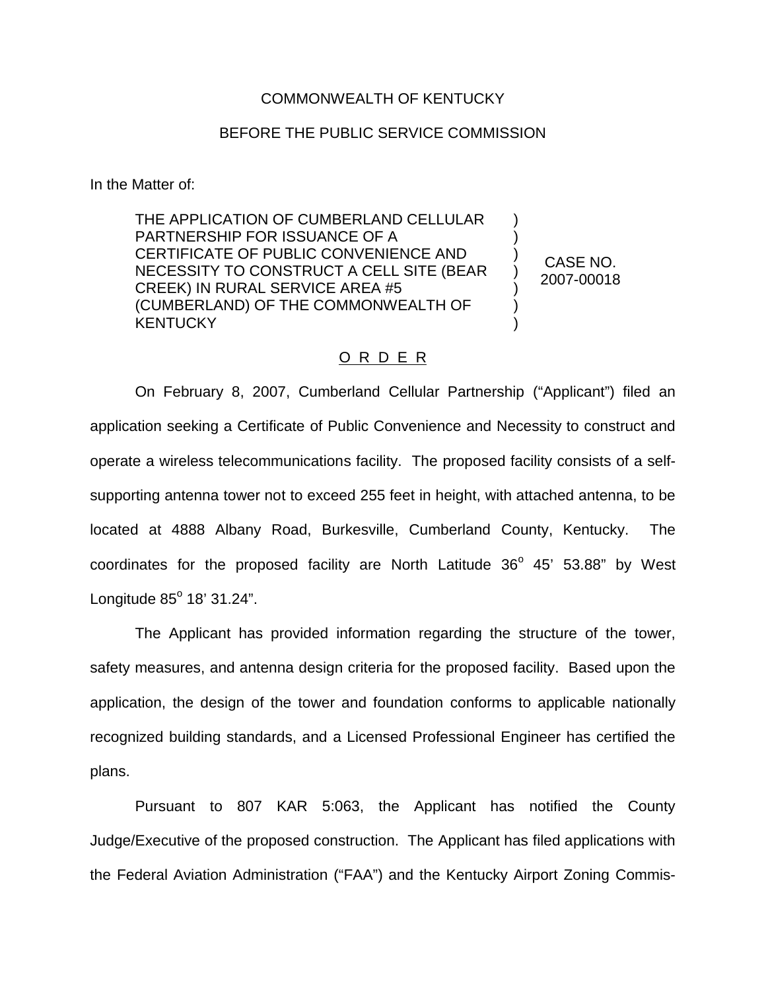## COMMONWEALTH OF KENTUCKY

## BEFORE THE PUBLIC SERVICE COMMISSION

In the Matter of:

THE APPLICATION OF CUMBERLAND CELLULAR PARTNERSHIP FOR ISSUANCE OF A CERTIFICATE OF PUBLIC CONVENIENCE AND NECESSITY TO CONSTRUCT A CELL SITE (BEAR CREEK) IN RURAL SERVICE AREA #5 (CUMBERLAND) OF THE COMMONWEALTH OF **KENTUCKY** 

CASE NO. 2007-00018

) ) ) ) ) ) )

## O R D E R

On February 8, 2007, Cumberland Cellular Partnership ("Applicant") filed an application seeking a Certificate of Public Convenience and Necessity to construct and operate a wireless telecommunications facility. The proposed facility consists of a selfsupporting antenna tower not to exceed 255 feet in height, with attached antenna, to be located at 4888 Albany Road, Burkesville, Cumberland County, Kentucky. The coordinates for the proposed facility are North Latitude  $36^{\circ}$  45' 53.88" by West Longitude  $85^{\circ}$  18' 31.24".

The Applicant has provided information regarding the structure of the tower, safety measures, and antenna design criteria for the proposed facility. Based upon the application, the design of the tower and foundation conforms to applicable nationally recognized building standards, and a Licensed Professional Engineer has certified the plans.

Pursuant to 807 KAR 5:063, the Applicant has notified the County Judge/Executive of the proposed construction. The Applicant has filed applications with the Federal Aviation Administration ("FAA") and the Kentucky Airport Zoning Commis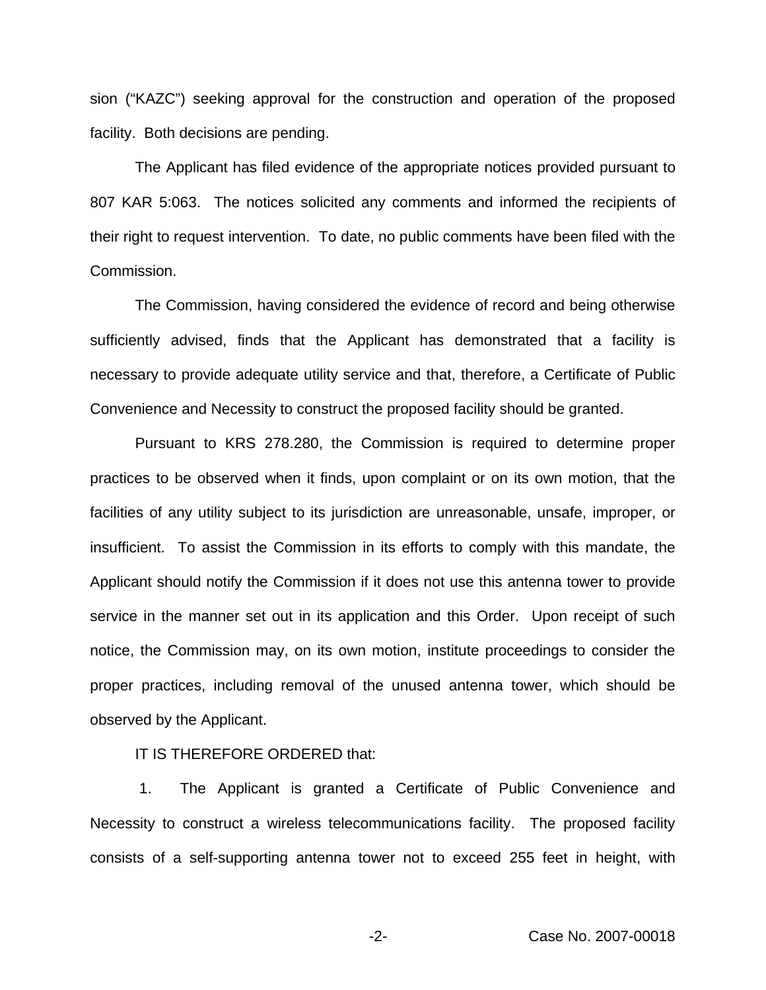sion ("KAZC") seeking approval for the construction and operation of the proposed facility. Both decisions are pending.

The Applicant has filed evidence of the appropriate notices provided pursuant to 807 KAR 5:063. The notices solicited any comments and informed the recipients of their right to request intervention. To date, no public comments have been filed with the Commission.

The Commission, having considered the evidence of record and being otherwise sufficiently advised, finds that the Applicant has demonstrated that a facility is necessary to provide adequate utility service and that, therefore, a Certificate of Public Convenience and Necessity to construct the proposed facility should be granted.

Pursuant to KRS 278.280, the Commission is required to determine proper practices to be observed when it finds, upon complaint or on its own motion, that the facilities of any utility subject to its jurisdiction are unreasonable, unsafe, improper, or insufficient. To assist the Commission in its efforts to comply with this mandate, the Applicant should notify the Commission if it does not use this antenna tower to provide service in the manner set out in its application and this Order. Upon receipt of such notice, the Commission may, on its own motion, institute proceedings to consider the proper practices, including removal of the unused antenna tower, which should be observed by the Applicant.

IT IS THEREFORE ORDERED that:

1. The Applicant is granted a Certificate of Public Convenience and Necessity to construct a wireless telecommunications facility. The proposed facility consists of a self-supporting antenna tower not to exceed 255 feet in height, with